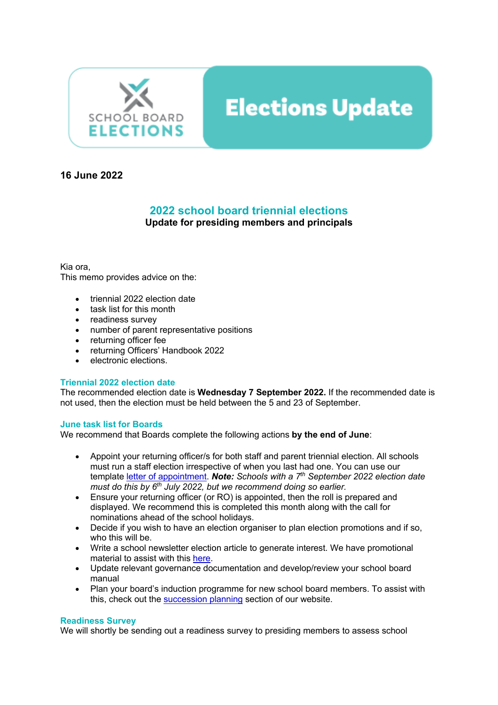

# **Elections Update**

### **16 June 2022**

## **2022 school board triennial elections**

**Update for presiding members and principals**

Kia ora,

This memo provides advice on the:

- triennial 2022 election date
- task list for this month
- readiness survey
- number of parent representative positions
- returning officer fee
- returning Officers' Handbook 2022
- electronic elections.

#### **Triennial 2022 election date**

The recommended election date is **Wednesday 7 September 2022.** If the recommended date is not used, then the election must be held between the 5 and 23 of September.

#### **June task list for Boards**

We recommend that Boards complete the following actions **by the end of June**:

- Appoint your returning officer/s for both staff and parent triennial election. All schools must run a staff election irrespective of when you last had one. You can use our template letter of appointment. *Note: Schools with a 7th September 2022 election date must do this by 6th July 2022, but we recommend doing so earlier.*
- Ensure your returning officer (or RO) is appointed, then the roll is prepared and displayed. We recommend this is completed this month along with the call for nominations ahead of the school holidays.
- Decide if you wish to have an election organiser to plan election promotions and if so, who this will be.
- Write a school newsletter election article to generate interest. We have promotional material to assist with this here.
- Update relevant governance documentation and develop/review your school board manual
- Plan your board's induction programme for new school board members. To assist with this, check out the succession planning section of our website.

#### **Readiness Survey**

We will shortly be sending out a readiness survey to presiding members to assess school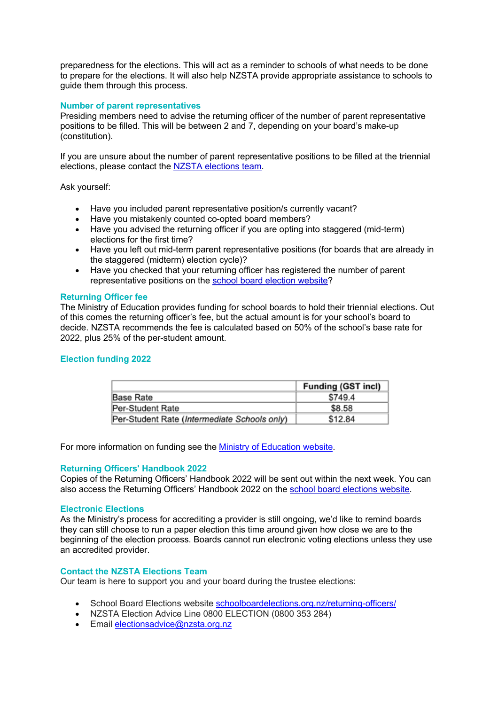preparedness for the elections. This will act as a reminder to schools of what needs to be done to prepare for the elections. It will also help NZSTA provide appropriate assistance to schools to guide them through this process.

#### **Number of parent representatives**

Presiding members need to advise the returning officer of the number of parent representative positions to be filled. This will be between 2 and 7, depending on your board's make-up (constitution).

If you are unsure about the number of parent representative positions to be filled at the triennial elections, please contact the NZSTA elections team.

Ask yourself:

- Have you included parent representative position/s currently vacant?
- Have you mistakenly counted co-opted board members?
- Have you advised the returning officer if you are opting into staggered (mid-term) elections for the first time?
- Have you left out mid-term parent representative positions (for boards that are already in the staggered (midterm) election cycle)?
- Have you checked that your returning officer has registered the number of parent representative positions on the school board election website?

#### **Returning Officer fee**

The Ministry of Education provides funding for school boards to hold their triennial elections. Out of this comes the returning officer's fee, but the actual amount is for your school's board to decide. NZSTA recommends the fee is calculated based on 50% of the school's base rate for 2022, plus 25% of the per-student amount.

#### **Election funding 2022**

|                                              | <b>Funding (GST incl)</b> |
|----------------------------------------------|---------------------------|
| Base Rate                                    | \$749.4                   |
| Per-Student Rate                             | \$8.58                    |
| Per-Student Rate (Intermediate Schools only) | \$12.84                   |

For more information on funding see the Ministry of Education website.

#### **Returning Officers' Handbook 2022**

Copies of the Returning Officers' Handbook 2022 will be sent out within the next week. You can also access the Returning Officers' Handbook 2022 on the school board elections website.

#### **Electronic Elections**

As the Ministry's process for accrediting a provider is still ongoing, we'd like to remind boards they can still choose to run a paper election this time around given how close we are to the beginning of the election process. Boards cannot run electronic voting elections unless they use an accredited provider.

#### **Contact the NZSTA Elections Team**

Our team is here to support you and your board during the trustee elections:

- School Board Elections website schoolboardelections.org.nz/returning-officers/
- NZSTA Election Advice Line 0800 ELECTION (0800 353 284)
- Email electionsadvice@nzsta.org.nz